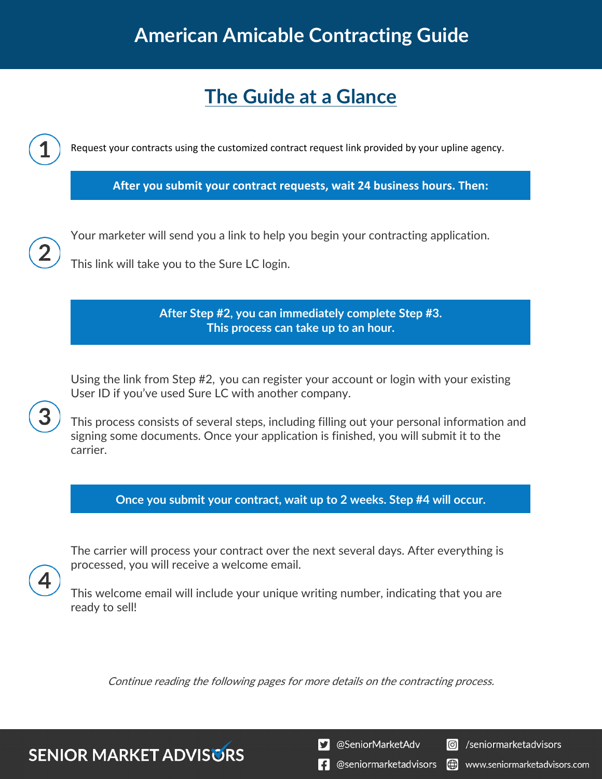# **American Amicable Contracting Guide**

# **The Guide at a Glance**

Request your contracts using the customized contract request link provided by your upline agency.

**After you submit your contract requests, wait 24 business hours. Then:**

Your marketer will send you a link to help you begin your contracting application.

This link will take you to the Sure LC login.

**After Step #2, you can immediately complete Step #3. This process can take up to an hour.**

Using the link from Step #2, you can register your account or login with your existing User ID if you've used Sure LC with another company.

This process consists of several steps, including filling out your personal information and signing some documents. Once your application is finished, you will submit it to the carrier.

**Once you submit your contract, wait up to 2 weeks. Step #4 will occur.**

The carrier will process your contract over the next several days. After everything is processed, you will receive a welcome email.

This welcome email will include your unique writing number, indicating that you are ready to sell!

Continue reading the following pages for more details on the contracting process.

**SENIOR MARKET ADVISURS** 

S @SeniorMarketAdv

**O** /seniormarketadvisors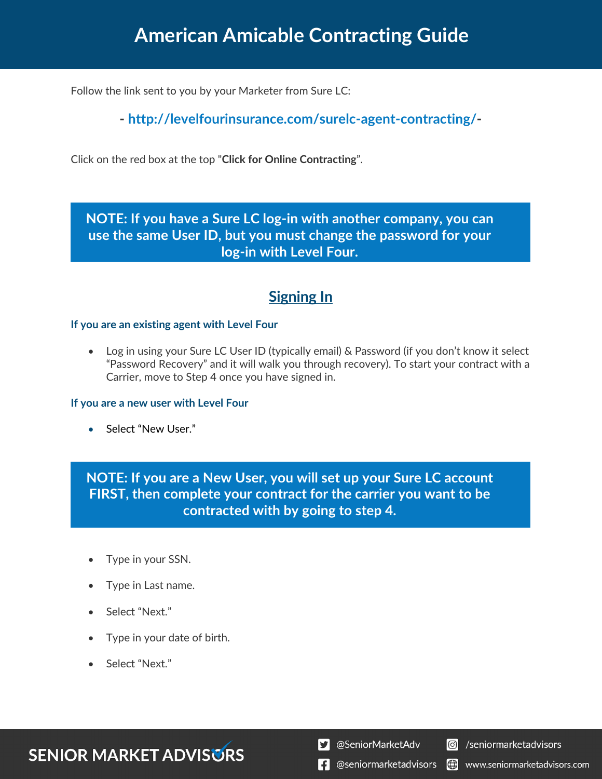## **American Amicable Contracting Guide**

Follow the link sent to you by your Marketer from Sure LC:

**- http://levelfourinsurance.com/surelc-agent-contracting/-**

Click on the red box at the top "**Click for Online Contracting**".

### **NOTE: If you have a Sure LC log-in with another company, you can use the same User ID, but you must change the password for your log-in with Level Four.**

### **Signing In**

#### **If you are an existing agent with Level Four**

• Log in using your Sure LC User ID (typically email) & Password (if you don't know it select "Password Recovery" and it will walk you through recovery). To start your contract with a Carrier, move to Step 4 once you have signed in.

#### **If you are a new user with Level Four**

• Select "New User."

**NOTE: If you are a New User, you will set up your Sure LC account FIRST, then complete your contract for the carrier you want to be contracted with by going to step 4.**

- Type in your SSN.
- Type in Last name.
- Select "Next."
- Type in your date of birth.
- Select "Next."

### **SENIOR MARKET ADVISURS**

S @SeniorMarketAdv

**C** /seniormarketadvisors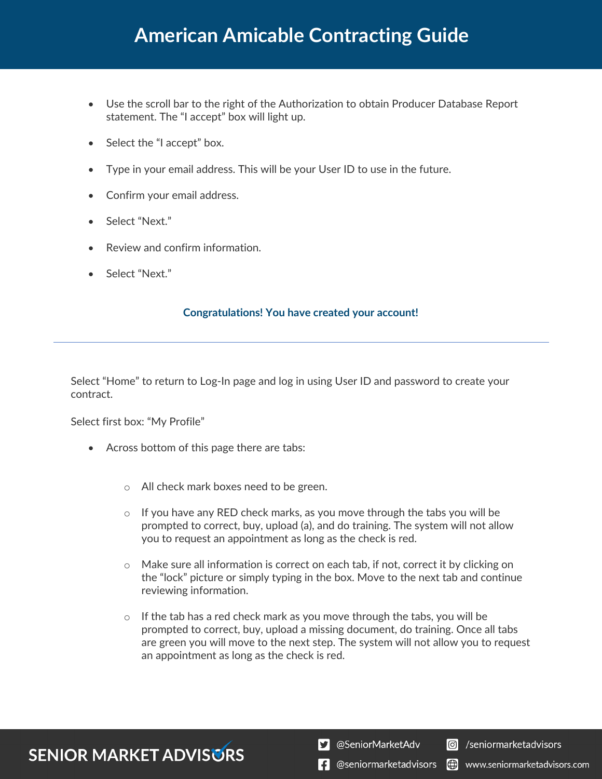- Use the scroll bar to the right of the Authorization to obtain Producer Database Report statement. The "I accept" box will light up.
- Select the "I accept" box.
- Type in your email address. This will be your User ID to use in the future.
- Confirm your email address.
- Select "Next."
- Review and confirm information.
- Select "Next."

#### **Congratulations! You have created your account!**

Select "Home" to return to Log-In page and log in using User ID and password to create your contract.

Select first box: "My Profile"

- Across bottom of this page there are tabs:
	- o All check mark boxes need to be green.
	- $\circ$  If you have any RED check marks, as you move through the tabs you will be prompted to correct, buy, upload (a), and do training. The system will not allow you to request an appointment as long as the check is red.
	- $\circ$  Make sure all information is correct on each tab, if not, correct it by clicking on the "lock" picture or simply typing in the box. Move to the next tab and continue reviewing information.
	- $\circ$  If the tab has a red check mark as you move through the tabs, you will be prompted to correct, buy, upload a missing document, do training. Once all tabs are green you will move to the next step. The system will not allow you to request an appointment as long as the check is red.

### **SENIOR MARKET ADVISURS**

S @SeniorMarketAdv

**C** /seniormarketadvisors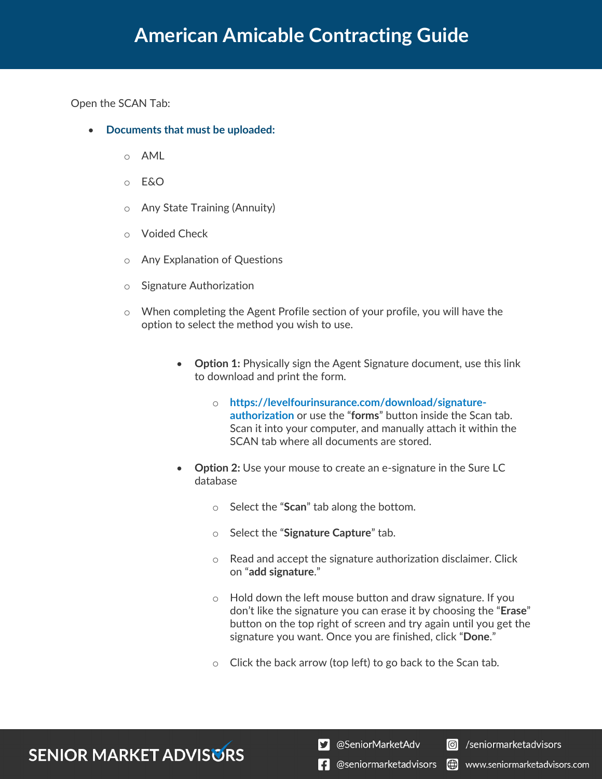Open the SCAN Tab:

- **Documents that must be uploaded:**
	- o AML
	- o E&O
	- o Any State Training (Annuity)
	- o Voided Check
	- o Any Explanation of Questions
	- o Signature Authorization
	- o When completing the Agent Profile section of your profile, you will have the option to select the method you wish to use.
		- **Option 1:** Physically sign the Agent Signature document, use this link to download and print the form.
			- o **https://levelfourinsurance.com/download/signatureauthorization** or use the "**forms**" button inside the Scan tab. Scan it into your computer, and manually attach it within the SCAN tab where all documents are stored.
		- **Option 2:** Use your mouse to create an e-signature in the Sure LC database
			- o Select the "**Scan**" tab along the bottom.
			- o Select the "**Signature Capture**" tab.
			- o Read and accept the signature authorization disclaimer. Click on "**add signature**."
			- o Hold down the left mouse button and draw signature. If you don't like the signature you can erase it by choosing the "**Erase**" button on the top right of screen and try again until you get the signature you want. Once you are finished, click "**Done**."
			- o Click the back arrow (top left) to go back to the Scan tab.

## **SENIOR MARKET ADVISURS**

S @SeniorMarketAdv